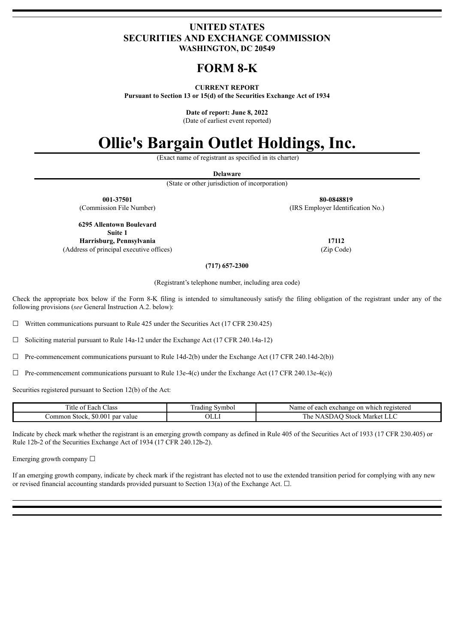## **UNITED STATES SECURITIES AND EXCHANGE COMMISSION WASHINGTON, DC 20549**

## **FORM 8-K**

## **CURRENT REPORT**

**Pursuant to Section 13 or 15(d) of the Securities Exchange Act of 1934**

**Date of report: June 8, 2022**

(Date of earliest event reported)

# **Ollie's Bargain Outlet Holdings, Inc.**

(Exact name of registrant as specified in its charter)

**Delaware**

(State or other jurisdiction of incorporation)

**001-37501 80-0848819**

(Commission File Number) (IRS Employer Identification No.)

**6295 Allentown Boulevard Suite 1 Harrisburg, Pennsylvania 17112** (Address of principal executive offices) (Zip Code)

## **(717) 657-2300**

(Registrant's telephone number, including area code)

Check the appropriate box below if the Form 8-K filing is intended to simultaneously satisfy the filing obligation of the registrant under any of the following provisions (*see* General Instruction A.2. below):

 $\Box$  Written communications pursuant to Rule 425 under the Securities Act (17 CFR 230.425)

 $\Box$  Soliciting material pursuant to Rule 14a-12 under the Exchange Act (17 CFR 240.14a-12)

 $\Box$  Pre-commencement communications pursuant to Rule 14d-2(b) under the Exchange Act (17 CFR 240.14d-2(b))

 $\Box$  Pre-commencement communications pursuant to Rule 13e-4(c) under the Exchange Act (17 CFR 240.13e-4(c))

Securities registered pursuant to Section 12(b) of the Act:

| -<br>Each Class<br>11tle of              | --<br>radıng<br>Symbol | Name<br>which registered<br>exchange on<br>each<br>-01            |
|------------------------------------------|------------------------|-------------------------------------------------------------------|
| \$0.001<br>par value<br>⊃ommon<br>Stock. | OLLI                   | T <sub>1</sub><br><b>Stock</b><br>Market<br>. he<br>'ASDAO<br>⊥∟⊾ |

Indicate by check mark whether the registrant is an emerging growth company as defined in Rule 405 of the Securities Act of 1933 (17 CFR 230.405) or Rule 12b-2 of the Securities Exchange Act of 1934 (17 CFR 240.12b-2).

Emerging growth company  $\Box$ 

If an emerging growth company, indicate by check mark if the registrant has elected not to use the extended transition period for complying with any new or revised financial accounting standards provided pursuant to Section 13(a) of the Exchange Act.  $\square$ .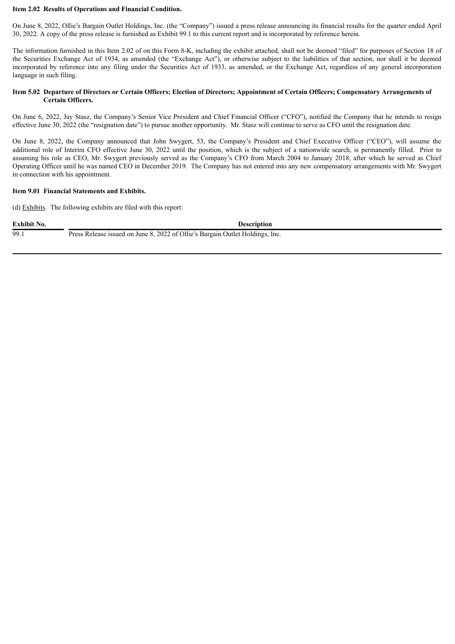#### **Item 2.02 Results of Operations and Financial Condition.**

On June 8, 2022, Ollie's Bargain Outlet Holdings, Inc. (the "Company") issued a press release announcing its financial results for the quarter ended April 30, 2022. A copy of the press release is furnished as Exhibit 99.1 to this current report and is incorporated by reference herein.

The information furnished in this Item 2.02 of on this Form 8-K, including the exhibit attached, shall not be deemed "filed" for purposes of Section 18 of the Securities Exchange Act of 1934, as amended (the "Exchange Act"), or otherwise subject to the liabilities of that section, nor shall it be deemed incorporated by reference into any filing under the Securities Act of 1933, as amended, or the Exchange Act, regardless of any general incorporation language in such filing.

#### Item 5.02 Departure of Directors or Certain Officers; Election of Directors; Appointment of Certain Officers; Compensatory Arrangements of **Certain Officers.**

On June 6, 2022, Jay Stasz, the Company's Senior Vice President and Chief Financial Officer ("CFO"), notified the Company that he intends to resign effective June 30, 2022 (the "resignation date") to pursue another opportunity. Mr. Stasz will continue to serve as CFO until the resignation date.

On June 8, 2022, the Company announced that John Swygert, 53, the Company's President and Chief Executive Officer ("CEO"), will assume the additional role of Interim CFO effective June 30, 2022 until the position, which is the subject of a nationwide search, is permanently filled. Prior to assuming his role as CEO, Mr. Swygert previously served as the Company's CFO from March 2004 to January 2018, after which he served as Chief Operating Officer until he was named CEO in December 2019. The Company has not entered into any new compensatory arrangements with Mr. Swygert in connection with his appointment.

#### **Item 9.01 Financial Statements and Exhibits.**

(d) Exhibits. The following exhibits are filed with this report:

| Exhibit No. | <b>Description</b>                                                            |
|-------------|-------------------------------------------------------------------------------|
| 99.1        | Press Release issued on June 8, 2022 of Ollie's Bargain Outlet Holdings, Inc. |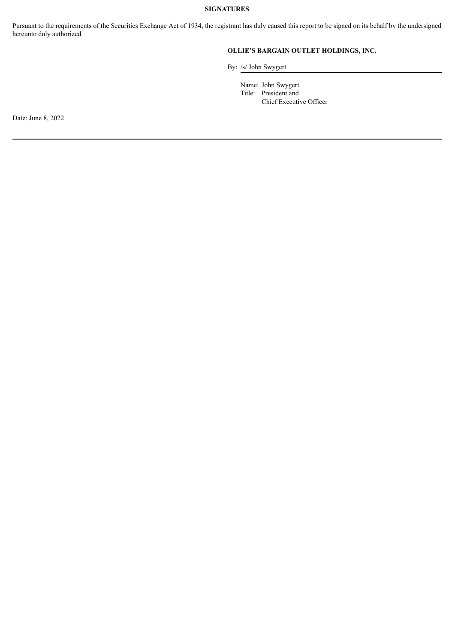## **SIGNATURES**

Pursuant to the requirements of the Securities Exchange Act of 1934, the registrant has duly caused this report to be signed on its behalf by the undersigned hereunto duly authorized.

## **OLLIE'S BARGAIN OUTLET HOLDINGS, INC.**

By: /s/ John Swygert

Name: John Swygert Title: President and Chief Executive Officer

Date: June 8, 2022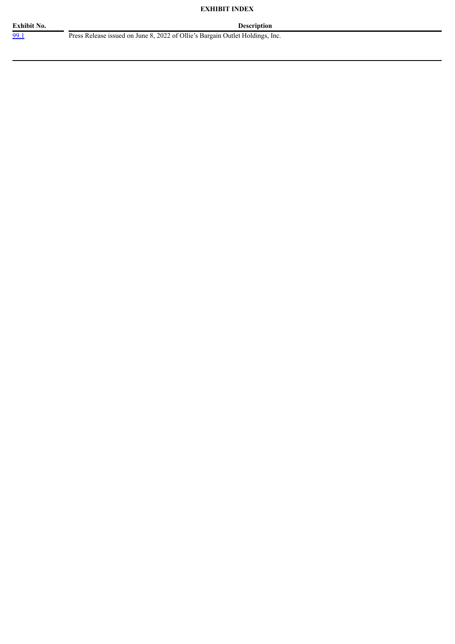## **EXHIBIT INDEX**

## **Exhibit No. Description**

[99.1](#page-4-0) Press Release issued on June 8, 2022 of Ollie's Bargain Outlet Holdings, Inc.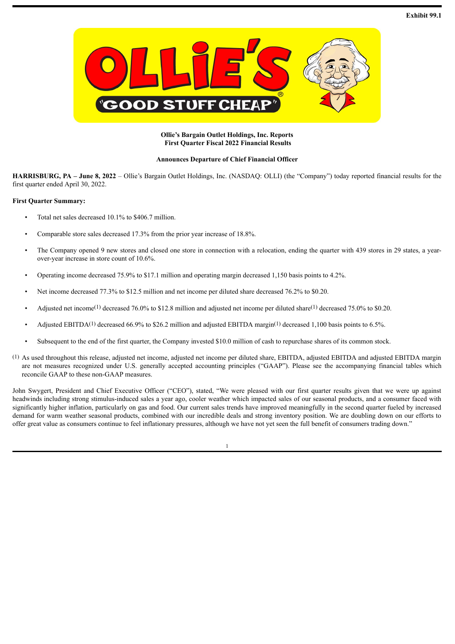<span id="page-4-0"></span>

## **Ollie's Bargain Outlet Holdings, Inc. Reports First Quarter Fiscal 2022 Financial Results**

#### **Announces Departure of Chief Financial Officer**

**HARRISBURG, PA – June 8, 2022** – Ollie's Bargain Outlet Holdings, Inc. (NASDAQ: OLLI) (the "Company") today reported financial results for the first quarter ended April 30, 2022.

#### **First Quarter Summary:**

- Total net sales decreased 10.1% to \$406.7 million.
- Comparable store sales decreased 17.3% from the prior year increase of 18.8%.
- The Company opened 9 new stores and closed one store in connection with a relocation, ending the quarter with 439 stores in 29 states, a yearover-year increase in store count of 10.6%.
- Operating income decreased 75.9% to \$17.1 million and operating margin decreased 1,150 basis points to 4.2%.
- Net income decreased 77.3% to \$12.5 million and net income per diluted share decreased 76.2% to \$0.20.
- Adjusted net income<sup>(1)</sup> decreased 76.0% to \$12.8 million and adjusted net income per diluted share<sup>(1)</sup> decreased 75.0% to \$0.20.
- Adjusted EBITDA<sup>(1)</sup> decreased 66.9% to \$26.2 million and adjusted EBITDA margin<sup>(1)</sup> decreased 1.100 basis points to 6.5%.
- Subsequent to the end of the first quarter, the Company invested \$10.0 million of cash to repurchase shares of its common stock.
- (1) As used throughout this release, adjusted net income, adjusted net income per diluted share, EBITDA, adjusted EBITDA and adjusted EBITDA margin are not measures recognized under U.S. generally accepted accounting principles ("GAAP"). Please see the accompanying financial tables which reconcile GAAP to these non-GAAP measures.

John Swygert, President and Chief Executive Officer ("CEO"), stated, "We were pleased with our first quarter results given that we were up against headwinds including strong stimulus-induced sales a year ago, cooler weather which impacted sales of our seasonal products, and a consumer faced with significantly higher inflation, particularly on gas and food. Our current sales trends have improved meaningfully in the second quarter fueled by increased demand for warm weather seasonal products, combined with our incredible deals and strong inventory position. We are doubling down on our efforts to offer great value as consumers continue to feel inflationary pressures, although we have not yet seen the full benefit of consumers trading down."

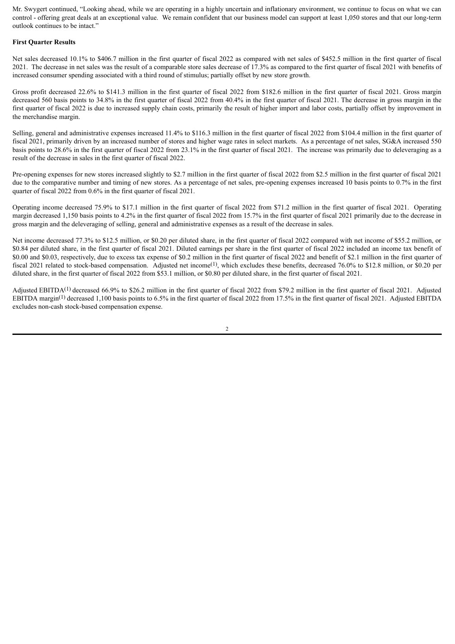Mr. Swygert continued, "Looking ahead, while we are operating in a highly uncertain and inflationary environment, we continue to focus on what we can control - offering great deals at an exceptional value. We remain confident that our business model can support at least 1,050 stores and that our long-term outlook continues to be intact."

#### **First Quarter Results**

Net sales decreased 10.1% to \$406.7 million in the first quarter of fiscal 2022 as compared with net sales of \$452.5 million in the first quarter of fiscal 2021. The decrease in net sales was the result of a comparable store sales decrease of 17.3% as compared to the first quarter of fiscal 2021 with benefits of increased consumer spending associated with a third round of stimulus; partially offset by new store growth.

Gross profit decreased 22.6% to \$141.3 million in the first quarter of fiscal 2022 from \$182.6 million in the first quarter of fiscal 2021. Gross margin decreased 560 basis points to 34.8% in the first quarter of fiscal 2022 from 40.4% in the first quarter of fiscal 2021. The decrease in gross margin in the first quarter of fiscal 2022 is due to increased supply chain costs, primarily the result of higher import and labor costs, partially offset by improvement in the merchandise margin.

Selling, general and administrative expenses increased 11.4% to \$116.3 million in the first quarter of fiscal 2022 from \$104.4 million in the first quarter of fiscal 2021, primarily driven by an increased number of stores and higher wage rates in select markets. As a percentage of net sales, SG&A increased 550 basis points to 28.6% in the first quarter of fiscal 2022 from 23.1% in the first quarter of fiscal 2021. The increase was primarily due to deleveraging as a result of the decrease in sales in the first quarter of fiscal 2022.

Pre-opening expenses for new stores increased slightly to \$2.7 million in the first quarter of fiscal 2022 from \$2.5 million in the first quarter of fiscal 2021 due to the comparative number and timing of new stores. As a percentage of net sales, pre-opening expenses increased 10 basis points to 0.7% in the first quarter of fiscal 2022 from 0.6% in the first quarter of fiscal 2021.

Operating income decreased 75.9% to \$17.1 million in the first quarter of fiscal 2022 from \$71.2 million in the first quarter of fiscal 2021. Operating margin decreased 1,150 basis points to 4.2% in the first quarter of fiscal 2022 from 15.7% in the first quarter of fiscal 2021 primarily due to the decrease in gross margin and the deleveraging of selling, general and administrative expenses as a result of the decrease in sales.

Net income decreased 77.3% to \$12.5 million, or \$0.20 per diluted share, in the first quarter of fiscal 2022 compared with net income of \$55.2 million, or \$0.84 per diluted share, in the first quarter of fiscal 2021. Diluted earnings per share in the first quarter of fiscal 2022 included an income tax benefit of \$0.00 and \$0.03, respectively, due to excess tax expense of \$0.2 million in the first quarter of fiscal 2022 and benefit of \$2.1 million in the first quarter of fiscal 2021 related to stock-based compensation. Adjusted net income<sup>(1)</sup>, which excludes these benefits, decreased 76.0% to \$12.8 million, or \$0.20 per diluted share, in the first quarter of fiscal 2022 from \$53.1 million, or \$0.80 per diluted share, in the first quarter of fiscal 2021.

Adjusted EBITDA(1) decreased 66.9% to \$26.2 million in the first quarter of fiscal 2022 from \$79.2 million in the first quarter of fiscal 2021. Adjusted EBITDA margin<sup>(1)</sup> decreased 1,100 basis points to 6.5% in the first quarter of fiscal 2022 from 17.5% in the first quarter of fiscal 2021. Adjusted EBITDA excludes non-cash stock-based compensation expense.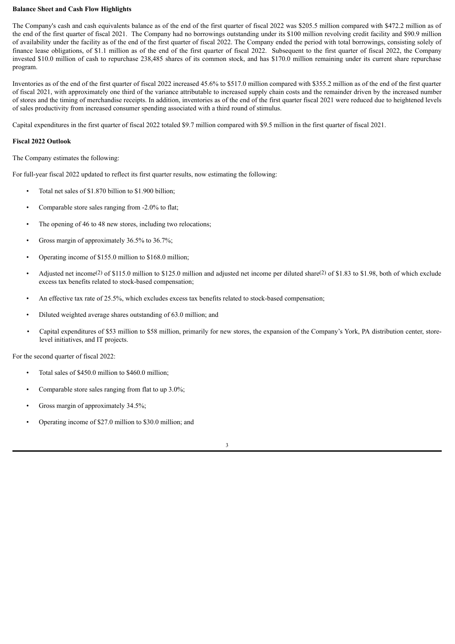## **Balance Sheet and Cash Flow Highlights**

The Company's cash and cash equivalents balance as of the end of the first quarter of fiscal 2022 was \$205.5 million compared with \$472.2 million as of the end of the first quarter of fiscal 2021. The Company had no borrowings outstanding under its \$100 million revolving credit facility and \$90.9 million of availability under the facility as of the end of the first quarter of fiscal 2022. The Company ended the period with total borrowings, consisting solely of finance lease obligations, of \$1.1 million as of the end of the first quarter of fiscal 2022. Subsequent to the first quarter of fiscal 2022, the Company invested \$10.0 million of cash to repurchase 238,485 shares of its common stock, and has \$170.0 million remaining under its current share repurchase program.

Inventories as of the end of the first quarter of fiscal 2022 increased 45.6% to \$517.0 million compared with \$355.2 million as of the end of the first quarter of fiscal 2021, with approximately one third of the variance attributable to increased supply chain costs and the remainder driven by the increased number of stores and the timing of merchandise receipts. In addition, inventories as of the end of the first quarter fiscal 2021 were reduced due to heightened levels of sales productivity from increased consumer spending associated with a third round of stimulus.

Capital expenditures in the first quarter of fiscal 2022 totaled \$9.7 million compared with \$9.5 million in the first quarter of fiscal 2021.

## **Fiscal 2022 Outlook**

The Company estimates the following:

For full-year fiscal 2022 updated to reflect its first quarter results, now estimating the following:

- Total net sales of \$1.870 billion to \$1.900 billion;
- Comparable store sales ranging from -2.0% to flat;
- The opening of 46 to 48 new stores, including two relocations;
- Gross margin of approximately 36.5% to 36.7%;
- Operating income of \$155.0 million to \$168.0 million;
- Adjusted net income<sup>(2)</sup> of \$115.0 million to \$125.0 million and adjusted net income per diluted share<sup>(2)</sup> of \$1.83 to \$1.98, both of which exclude excess tax benefits related to stock-based compensation;
- An effective tax rate of 25.5%, which excludes excess tax benefits related to stock-based compensation;
- Diluted weighted average shares outstanding of 63.0 million; and
- Capital expenditures of \$53 million to \$58 million, primarily for new stores, the expansion of the Company's York, PA distribution center, storelevel initiatives, and IT projects.

For the second quarter of fiscal 2022:

- Total sales of \$450.0 million to \$460.0 million;
- Comparable store sales ranging from flat to up 3.0%;
- Gross margin of approximately 34.5%;
- Operating income of \$27.0 million to \$30.0 million; and

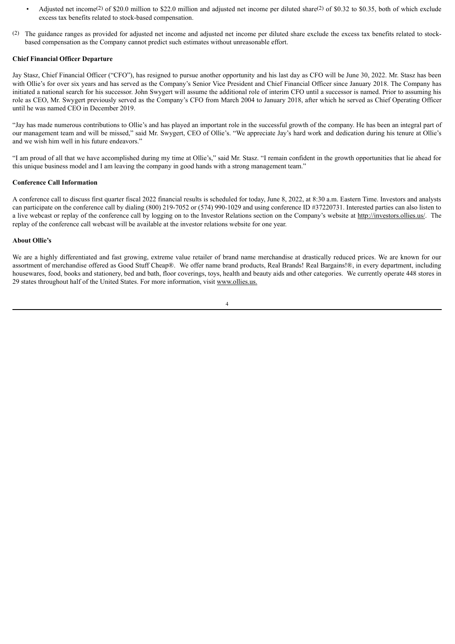- Adjusted net income<sup>(2)</sup> of \$20.0 million to \$22.0 million and adjusted net income per diluted share<sup>(2)</sup> of \$0.32 to \$0.35, both of which exclude excess tax benefits related to stock-based compensation.
- (2) The guidance ranges as provided for adjusted net income and adjusted net income per diluted share exclude the excess tax benefits related to stockbased compensation as the Company cannot predict such estimates without unreasonable effort.

#### **Chief Financial Officer Departure**

Jay Stasz, Chief Financial Officer ("CFO"), has resigned to pursue another opportunity and his last day as CFO will be June 30, 2022. Mr. Stasz has been with Ollie's for over six years and has served as the Company's Senior Vice President and Chief Financial Officer since January 2018. The Company has initiated a national search for his successor. John Swygert will assume the additional role of interim CFO until a successor is named. Prior to assuming his role as CEO, Mr. Swygert previously served as the Company's CFO from March 2004 to January 2018, after which he served as Chief Operating Officer until he was named CEO in December 2019.

"Jay has made numerous contributions to Ollie's and has played an important role in the successful growth of the company. He has been an integral part of our management team and will be missed," said Mr. Swygert, CEO of Ollie's. "We appreciate Jay's hard work and dedication during his tenure at Ollie's and we wish him well in his future endeavors."

"I am proud of all that we have accomplished during my time at Ollie's," said Mr. Stasz. "I remain confident in the growth opportunities that lie ahead for this unique business model and I am leaving the company in good hands with a strong management team."

#### **Conference Call Information**

A conference call to discuss first quarter fiscal 2022 financial results is scheduled for today, June 8, 2022, at 8:30 a.m. Eastern Time. Investors and analysts can participate on the conference call by dialing (800) 219-7052 or (574) 990-1029 and using conference ID #37220731. Interested parties can also listen to a live webcast or replay of the conference call by logging on to the Investor Relations section on the Company's website at http://investors.ollies.us/. The replay of the conference call webcast will be available at the investor relations website for one year.

#### **About Ollie's**

We are a highly differentiated and fast growing, extreme value retailer of brand name merchandise at drastically reduced prices. We are known for our assortment of merchandise offered as Good Stuff Cheap®. We offer name brand products, Real Brands! Real Bargains!®, in every department, including housewares, food, books and stationery, bed and bath, floor coverings, toys, health and beauty aids and other categories. We currently operate 448 stores in 29 states throughout half of the United States. For more information, visit www.ollies.us.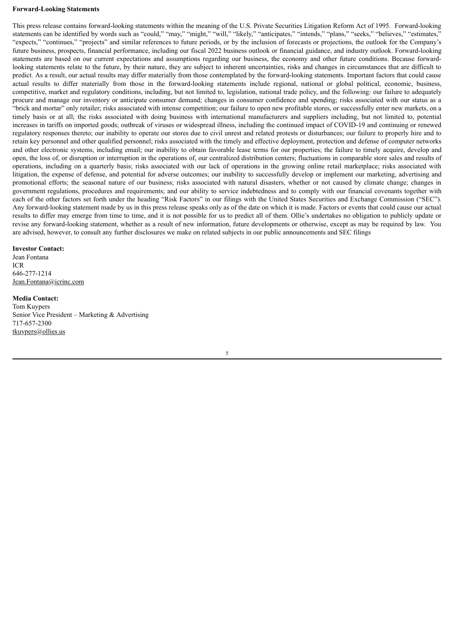#### **Forward-Looking Statements**

This press release contains forward-looking statements within the meaning of the U.S. Private Securities Litigation Reform Act of 1995. Forward-looking statements can be identified by words such as "could," "may," "might," "will," "likely," "anticipates," "intends," "plans," "seeks," "believes," "estimates, "expects," "continues," "projects" and similar references to future periods, or by the inclusion of forecasts or projections, the outlook for the Company's future business, prospects, financial performance, including our fiscal 2022 business outlook or financial guidance, and industry outlook. Forward-looking statements are based on our current expectations and assumptions regarding our business, the economy and other future conditions. Because forwardlooking statements relate to the future, by their nature, they are subject to inherent uncertainties, risks and changes in circumstances that are difficult to predict. As a result, our actual results may differ materially from those contemplated by the forward-looking statements. Important factors that could cause actual results to differ materially from those in the forward-looking statements include regional, national or global political, economic, business, competitive, market and regulatory conditions, including, but not limited to, legislation, national trade policy, and the following: our failure to adequately procure and manage our inventory or anticipate consumer demand; changes in consumer confidence and spending; risks associated with our status as a "brick and mortar" only retailer; risks associated with intense competition; our failure to open new profitable stores, or successfully enter new markets, on a timely basis or at all; the risks associated with doing business with international manufacturers and suppliers including, but not limited to, potential increases in tariffs on imported goods; outbreak of viruses or widespread illness, including the continued impact of COVID-19 and continuing or renewed regulatory responses thereto; our inability to operate our stores due to civil unrest and related protests or disturbances; our failure to properly hire and to retain key personnel and other qualified personnel; risks associated with the timely and effective deployment, protection and defense of computer networks and other electronic systems, including email; our inability to obtain favorable lease terms for our properties; the failure to timely acquire, develop and open, the loss of, or disruption or interruption in the operations of, our centralized distribution centers; fluctuations in comparable store sales and results of operations, including on a quarterly basis; risks associated with our lack of operations in the growing online retail marketplace; risks associated with litigation, the expense of defense, and potential for adverse outcomes; our inability to successfully develop or implement our marketing, advertising and promotional efforts; the seasonal nature of our business; risks associated with natural disasters, whether or not caused by climate change; changes in government regulations, procedures and requirements; and our ability to service indebtedness and to comply with our financial covenants together with each of the other factors set forth under the heading "Risk Factors" in our filings with the United States Securities and Exchange Commission ("SEC"). Any forward-looking statement made by us in this press release speaks only as of the date on which it is made. Factors or events that could cause our actual results to differ may emerge from time to time, and it is not possible for us to predict all of them. Ollie's undertakes no obligation to publicly update or revise any forward-looking statement, whether as a result of new information, future developments or otherwise, except as may be required by law. You are advised, however, to consult any further disclosures we make on related subjects in our public announcements and SEC filings

#### **Investor Contact:**

Jean Fontana ICR 646-277-1214 Jean.Fontana@icrinc.com

#### **Media Contact:**

Tom Kuypers Senior Vice President – Marketing & Advertising 717-657-2300 tkuypers@ollies.us

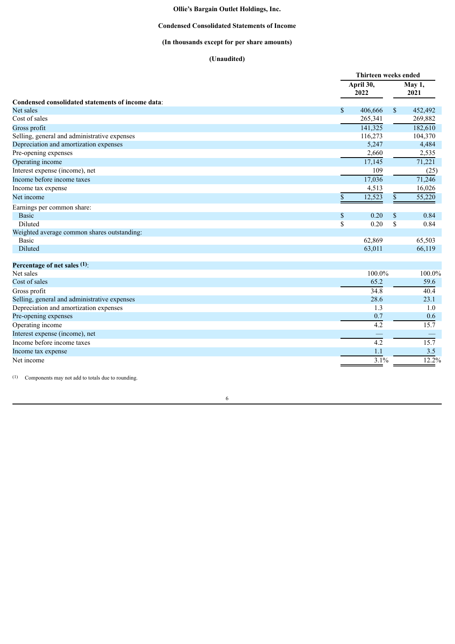## **Ollie's Bargain Outlet Holdings, Inc.**

## **Condensed Consolidated Statements of Income**

## **(In thousands except for per share amounts)**

## **(Unaudited)**

|                                                   | Thirteen weeks ended          |                |  |
|---------------------------------------------------|-------------------------------|----------------|--|
|                                                   | April 30,<br>2022             | May 1,<br>2021 |  |
| Condensed consolidated statements of income data: |                               |                |  |
| Net sales                                         | \$<br>$\mathbb{S}$<br>406,666 | 452,492        |  |
| Cost of sales                                     | 265,341                       | 269,882        |  |
| Gross profit                                      | 141,325                       | 182,610        |  |
| Selling, general and administrative expenses      | 116,273                       | 104,370        |  |
| Depreciation and amortization expenses            | 5,247                         | 4,484          |  |
| Pre-opening expenses                              | 2,660                         | 2,535          |  |
| Operating income                                  | 17,145                        | 71,221         |  |
| Interest expense (income), net                    | 109                           | (25)           |  |
| Income before income taxes                        | 17,036                        | 71,246         |  |
| Income tax expense                                | 4,513                         | 16,026         |  |
| Net income                                        | \$<br>\$<br>12,523            | 55,220         |  |
| Earnings per common share:                        |                               |                |  |
| <b>Basic</b>                                      | \$<br>0.20<br>\$              | 0.84           |  |
| Diluted                                           | \$<br>0.20<br><sup>\$</sup>   | 0.84           |  |
| Weighted average common shares outstanding:       |                               |                |  |
| <b>Basic</b>                                      | 62,869                        | 65,503         |  |
| <b>Diluted</b>                                    | 63,011                        | 66,119         |  |
| Percentage of net sales (1):                      |                               |                |  |
| Net sales                                         | 100.0%                        | 100.0%         |  |
| Cost of sales                                     | 65.2                          | 59.6           |  |
| Gross profit                                      | 34.8                          | 40.4           |  |
| Selling, general and administrative expenses      | 28.6                          | 23.1           |  |
| Depreciation and amortization expenses            | 1.3                           | 1.0            |  |
| Pre-opening expenses                              | 0.7                           | 0.6            |  |
| Operating income                                  | $\overline{4.2}$              | 15.7           |  |
| Interest expense (income), net                    |                               |                |  |
| Income before income taxes                        | 4.2                           | 15.7           |  |
| Income tax expense                                | 1.1                           | 3.5            |  |
| Net income                                        | 3.1%                          | 12.2%          |  |
|                                                   |                               |                |  |

(1) Components may not add to totals due to rounding.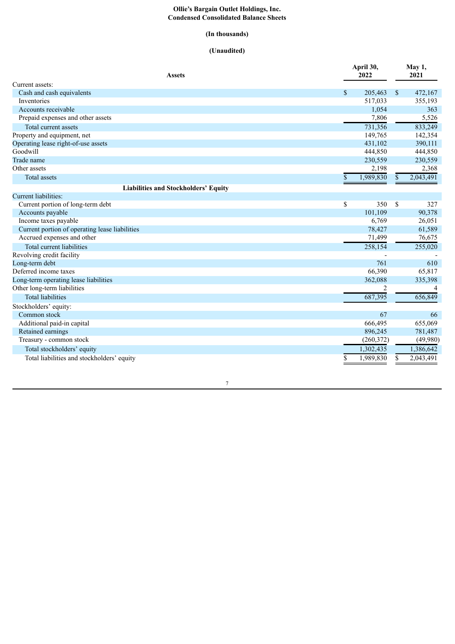#### **Ollie's Bargain Outlet Holdings, Inc. Condensed Consolidated Balance Sheets**

## **(In thousands)**

## **(Unaudited)**

| <b>Assets</b>                                  | April 30,<br>2022 |              | May 1,<br>2021 |
|------------------------------------------------|-------------------|--------------|----------------|
| Current assets:                                |                   |              |                |
| Cash and cash equivalents                      | \$<br>205,463     | $\mathbb{S}$ | 472,167        |
| Inventories                                    | 517,033           |              | 355,193        |
| Accounts receivable                            | 1,054             |              | 363            |
| Prepaid expenses and other assets              | 7,806             |              | 5,526          |
| Total current assets                           | 731,356           |              | 833,249        |
| Property and equipment, net                    | 149,765           |              | 142,354        |
| Operating lease right-of-use assets            | 431,102           |              | 390,111        |
| Goodwill                                       | 444,850           |              | 444,850        |
| Trade name                                     | 230,559           |              | 230,559        |
| Other assets                                   | 2,198             |              | 2,368          |
| <b>Total assets</b>                            | \$<br>1,989,830   | \$           | 2,043,491      |
| Liabilities and Stockholders' Equity           |                   |              |                |
| Current liabilities:                           |                   |              |                |
| Current portion of long-term debt              | \$<br>350         | $\mathbf S$  | 327            |
| Accounts payable                               | 101,109           |              | 90,378         |
| Income taxes payable                           | 6,769             |              | 26,051         |
| Current portion of operating lease liabilities | 78,427            |              | 61,589         |
| Accrued expenses and other                     | 71,499            |              | 76,675         |
| Total current liabilities                      | 258,154           |              | 255,020        |
| Revolving credit facility                      |                   |              |                |
| Long-term debt                                 | 761               |              | 610            |
| Deferred income taxes                          | 66,390            |              | 65,817         |
| Long-term operating lease liabilities          | 362,088           |              | 335,398        |
| Other long-term liabilities                    | 2                 |              |                |
| <b>Total liabilities</b>                       | 687,395           |              | 656,849        |
| Stockholders' equity:                          |                   |              |                |
| Common stock                                   | 67                |              | 66             |
| Additional paid-in capital                     | 666,495           |              | 655,069        |
| Retained earnings                              | 896,245           |              | 781,487        |
| Treasury - common stock                        | (260,372)         |              | (49,980)       |
| Total stockholders' equity                     | 1,302,435         |              | 1,386,642      |
| Total liabilities and stockholders' equity     | \$<br>1,989,830   | \$           | 2,043,491      |
|                                                |                   |              |                |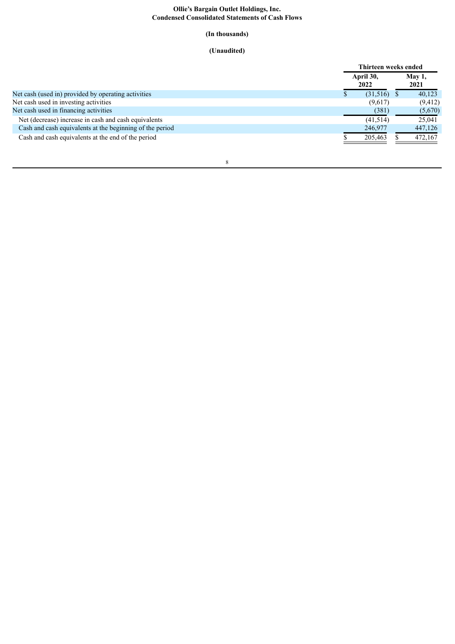#### **Ollie's Bargain Outlet Holdings, Inc. Condensed Consolidated Statements of Cash Flows**

## **(In thousands)**

## **(Unaudited)**

|                                                          | Thirteen weeks ended |              |                |
|----------------------------------------------------------|----------------------|--------------|----------------|
|                                                          | April 30,<br>2022    |              | May 1,<br>2021 |
| Net cash (used in) provided by operating activities      | (31,516)             | <sup>3</sup> | 40,123         |
| Net cash used in investing activities                    | (9,617)              |              | (9, 412)       |
| Net cash used in financing activities                    | (381)                |              | (5,670)        |
| Net (decrease) increase in cash and cash equivalents     | (41,514)             |              | 25,041         |
| Cash and cash equivalents at the beginning of the period | 246,977              |              | 447,126        |
| Cash and cash equivalents at the end of the period       | 205,463              |              | 472,167        |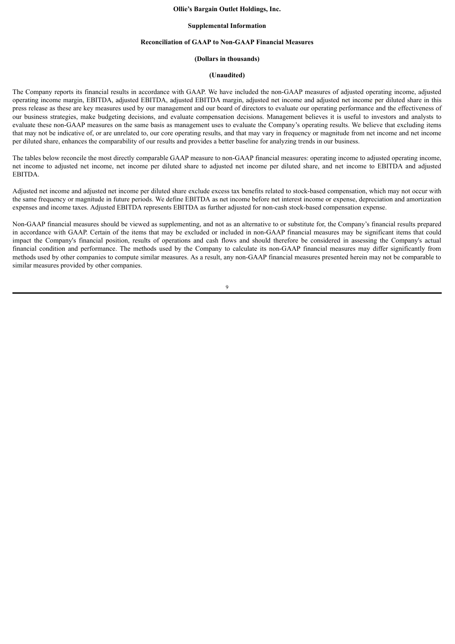#### **Ollie's Bargain Outlet Holdings, Inc.**

#### **Supplemental Information**

#### **Reconciliation of GAAP to Non-GAAP Financial Measures**

#### **(Dollars in thousands)**

#### **(Unaudited)**

The Company reports its financial results in accordance with GAAP. We have included the non-GAAP measures of adjusted operating income, adjusted operating income margin, EBITDA, adjusted EBITDA, adjusted EBITDA margin, adjusted net income and adjusted net income per diluted share in this press release as these are key measures used by our management and our board of directors to evaluate our operating performance and the effectiveness of our business strategies, make budgeting decisions, and evaluate compensation decisions. Management believes it is useful to investors and analysts to evaluate these non-GAAP measures on the same basis as management uses to evaluate the Company's operating results. We believe that excluding items that may not be indicative of, or are unrelated to, our core operating results, and that may vary in frequency or magnitude from net income and net income per diluted share, enhances the comparability of our results and provides a better baseline for analyzing trends in our business.

The tables below reconcile the most directly comparable GAAP measure to non-GAAP financial measures: operating income to adjusted operating income, net income to adjusted net income, net income per diluted share to adjusted net income per diluted share, and net income to EBITDA and adjusted **EBITDA** 

Adjusted net income and adjusted net income per diluted share exclude excess tax benefits related to stock-based compensation, which may not occur with the same frequency or magnitude in future periods. We define EBITDA as net income before net interest income or expense, depreciation and amortization expenses and income taxes. Adjusted EBITDA represents EBITDA as further adjusted for non-cash stock-based compensation expense.

Non-GAAP financial measures should be viewed as supplementing, and not as an alternative to or substitute for, the Company's financial results prepared in accordance with GAAP. Certain of the items that may be excluded or included in non-GAAP financial measures may be significant items that could impact the Company's financial position, results of operations and cash flows and should therefore be considered in assessing the Company's actual financial condition and performance. The methods used by the Company to calculate its non-GAAP financial measures may differ significantly from methods used by other companies to compute similar measures. As a result, any non-GAAP financial measures presented herein may not be comparable to similar measures provided by other companies.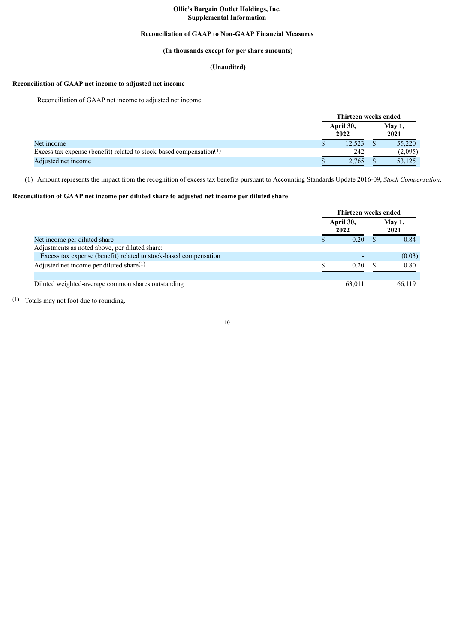## **Ollie's Bargain Outlet Holdings, Inc. Supplemental Information**

#### **Reconciliation of GAAP to Non-GAAP Financial Measures**

## **(In thousands except for per share amounts)**

## **(Unaudited)**

## **Reconciliation of GAAP net income to adjusted net income**

Reconciliation of GAAP net income to adjusted net income

|                                                                        | Thirteen weeks ended |  |                |  |
|------------------------------------------------------------------------|----------------------|--|----------------|--|
|                                                                        | April 30,<br>2022    |  | May 1,<br>2021 |  |
| Net income                                                             | 12,523               |  | 55,220         |  |
| Excess tax expense (benefit) related to stock-based compensation $(1)$ | 242                  |  | (2.095)        |  |
| Adjusted net income                                                    | 12.765               |  | 53.125         |  |

(1) Amount represents the impact from the recognition of excess tax benefits pursuant to Accounting Standards Update 2016-09, *Stock Compensation*.

## **Reconciliation of GAAP net income per diluted share to adjusted net income per diluted share**

|                                                                  | Thirteen weeks ended |  |                |
|------------------------------------------------------------------|----------------------|--|----------------|
|                                                                  | April 30,<br>2022    |  | May 1,<br>2021 |
| Net income per diluted share                                     | 0.20                 |  | 0.84           |
| Adjustments as noted above, per diluted share:                   |                      |  |                |
| Excess tax expense (benefit) related to stock-based compensation |                      |  | (0.03)         |
| Adjusted net income per diluted share $(1)$                      | 0.20                 |  | 0.80           |
| Diluted weighted-average common shares outstanding               | 63,011               |  | 66,119         |

## (1) Totals may not foot due to rounding.